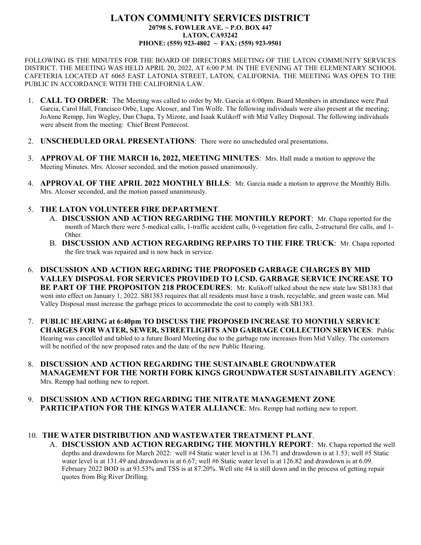## **LATON COMMUNITY SERVICES DISTRICT 20798 S. FOWLER AVE. ~ P.O. BOX 447 LATON, CA93242 PHONE: (559) 923-4802 ~ FAX: (559) 923-9501**

FOLLOWING IS THE MINUTES FOR THE BOARD OF DIRECTORS MEETING OF THE LATON COMMUNITY SERVICES DISTRICT. THE MEETING WAS HELD APRIL 20, 2022, AT 6:00 P.M. IN THE EVENING AT THE ELEMENTARY SCHOOL CAFETERIA LOCATED AT 6065 EAST LATONIA STREET, LATON, CALIFORNIA. THE MEETING WAS OPEN TO THE PUBLIC IN ACCORDANCE WITH THE CALIFORNIA LAW.

- 1. **CALL TO ORDER**: The Meeting was called to order by Mr. Garcia at 6:00pm. Board Members in attendance were Paul Garcia, Carol Hall, Francisco Orbe, Lupe Alcoser, and Tim Wolfe. The following individuals were also present at the meeting; JoAnne Rempp, Jim Wegley, Dan Chapa, Ty Mizote, and Isaak Kulikoff with Mid Valley Disposal. The following individuals were absent from the meeting: Chief Brent Pentecost.
- 2. **UNSCHEDULED ORAL PRESENTATIONS**: There were no unscheduled oral presentations.
- 3. **APPROVAL OF THE MARCH 16, 2022, MEETING MINUTES**: Mrs. Hall made a motion to approve the Meeting Minutes. Mrs. Alcoser seconded, and the motion passed unanimously.
- 4. **APPROVAL OF THE APRIL 2022 MONTHLY BILLS**: Mr. Garcia made a motion to approve the Monthly Bills. Mrs. Alcoser seconded, and the motion passed unanimously.

## 5. **THE LATON VOLUNTEER FIRE DEPARTMENT**.

- A. **DISCUSSION AND ACTION REGARDING THE MONTHLY REPORT**: Mr. Chapa reported for the month of March there were 5-medical calls, 1-traffic accident calls, 0-vegetation fire calls, 2-structural fire calls, and 1- Other.
- B. **DISCUSSION AND ACTION REGARDING REPAIRS TO THE FIRE TRUCK**: Mr. Chapa reported the fire truck was repaired and is now back in service.
- 6. **DISCUSSION AND ACTION REGARDING THE PROPOSED GARBAGE CHARGES BY MID VALLEY DISPOSAL FOR SERVICES PROVIDED TO LCSD. GARBAGE SERVICE INCREASE TO BE PART OF THE PROPOSITON 218 PROCEDURES**: Mr. Kulikoff talked about the new state law SB1383 that went into effect on January 1, 2022. SB1383 requires that all residents must have a trash, recyclable, and green waste can. Mid Valley Disposal must increase the garbage prices to accommodate the cost to comply with SB1383.
- 7. **PUBLIC HEARING at 6:40pm TO DISCUSS THE PROPOSED INCREASE TO MONTHLY SERVICE CHARGES FOR WATER, SEWER, STREETLIGHTS AND GARBAGE COLLECTION SERVICES**: Public Hearing was cancelled and tabled to a future Board Meeting due to the garbage rate increases from Mid Valley. The customers will be notified of the new proposed rates and the date of the new Public Hearing.
- 8. **DISCUSSION AND ACTION REGARDING THE SUSTAINABLE GROUNDWATER MANAGEMENT FOR THE NORTH FORK KINGS GROUNDWATER SUSTAINABILITY AGENCY**: Mrs. Rempp had nothing new to report.
- 9. **DISCUSSION AND ACTION REGARDING THE NITRATE MANAGEMENT ZONE PARTICIPATION FOR THE KINGS WATER ALLIANCE:** Mrs. Rempp had nothing new to report.

## 10. **THE WATER DISTRIBUTION AND WASTEWATER TREATMENT PLANT**.

A. **DISCUSSION AND ACTION REGARDING THE MONTHLY REPORT**: Mr. Chapa reported the well depths and drawdowns for March 2022: well #4 Static water level is at 136.71 and drawdown is at 1.53; well #5 Static water level is at 131.49 and drawdown is at 6.67; well #6 Static water level is at 126.82 and drawdown is at 6.09. February 2022 BOD is at 93.53% and TSS is at 87.20%. Well site #4 is still down and in the process of getting repair quotes from Big River Drilling.